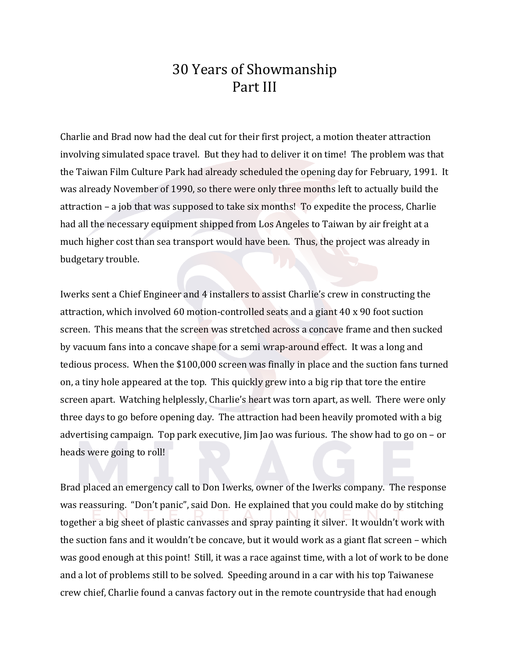## 30 Years of Showmanship Part III

Charlie and Brad now had the deal cut for their first project, a motion theater attraction involving simulated space travel. But they had to deliver it on time! The problem was that the Taiwan Film Culture Park had already scheduled the opening day for February, 1991. It was already November of 1990, so there were only three months left to actually build the attraction – a job that was supposed to take six months! To expedite the process, Charlie had all the necessary equipment shipped from Los Angeles to Taiwan by air freight at a much higher cost than sea transport would have been. Thus, the project was already in budgetary trouble.

Iwerks sent a Chief Engineer and 4 installers to assist Charlie's crew in constructing the attraction, which involved 60 motion-controlled seats and a giant 40 x 90 foot suction screen. This means that the screen was stretched across a concave frame and then sucked by vacuum fans into a concave shape for a semi wrap-around effect. It was a long and tedious process. When the \$100,000 screen was finally in place and the suction fans turned on, a tiny hole appeared at the top. This quickly grew into a big rip that tore the entire screen apart. Watching helplessly, Charlie's heart was torn apart, as well. There were only three days to go before opening day. The attraction had been heavily promoted with a big advertising campaign. Top park executive,  $\lim$  Jao was furious. The show had to go on – or heads were going to roll!

Brad placed an emergency call to Don Iwerks, owner of the Iwerks company. The response was reassuring. "Don't panic", said Don. He explained that you could make do by stitching together a big sheet of plastic canvasses and spray painting it silver. It wouldn't work with the suction fans and it wouldn't be concave, but it would work as a giant flat screen - which was good enough at this point! Still, it was a race against time, with a lot of work to be done and a lot of problems still to be solved. Speeding around in a car with his top Taiwanese crew chief, Charlie found a canvas factory out in the remote countryside that had enough